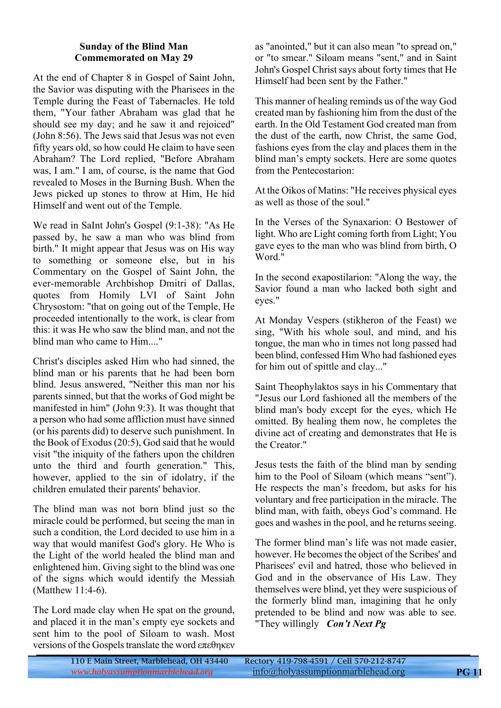#### **Sunday of the Blind Man Commemorated on May 29**

At the end of Chapter 8 in Gospel of Saint John, the Savior was disputing with the Pharisees in the Temple during the Feast of Tabernacles. He told them, "Your father Abraham was glad that he should see my day; and he saw it and rejoiced" (John 8:56). The Jews said that Jesus was not even fifty years old, so how could He claim to have seen Abraham? The Lord replied, "Before Abraham was, I am." I am, of course, is the name that God revealed to Moses in the Burning Bush. When the Jews picked up stones to throw at Him, He hid Himself and went out of the Temple.

We read in SaInt John's Gospel (9:1-38): "As He passed by, he saw a man who was blind from birth." It might appear that Jesus was on His way to something or someone else, but in his Commentary on the Gospel of Saint John, the ever-memorable Archbishop Dmitri of Dallas, quotes from Homily LVI of Saint John Chrysostom: "that on going out of the Temple, He proceeded intentionally to the work, is clear from this: it was He who saw the blind man, and not the blind man who came to Him...."

Christ's disciples asked Him who had sinned, the blind man or his parents that he had been born blind. Jesus answered, "Neither this man nor his parents sinned, but that the works of God might be manifested in him" (John 9:3). It was thought that a person who had some affliction must have sinned (or his parents did) to deserve such punishment. In the Book of Exodus (20:5), God said that he would visit "the iniquity of the fathers upon the children unto the third and fourth generation." This, however, applied to the sin of idolatry, if the children emulated their parents' behavior.

The blind man was not born blind just so the miracle could be performed, but seeing the man in such a condition, the Lord decided to use him in a way that would manifest God's glory. He Who is the Light of the world healed the blind man and enlightened him. Giving sight to the blind was one of the signs which would identify the Messiah (Matthew 11:4-6).

The Lord made clay when He spat on the ground, and placed it in the man's empty eye sockets and sent him to the pool of Siloam to wash. Most versions of the Gospels translate the word επεθηκεν

as "anointed," but it can also mean "to spread on," or "to smear." Siloam means "sent," and in Saint John's Gospel Christ says about forty times that He Himself had been sent by the Father."

This manner of healing reminds us of the way God created man by fashioning him from the dust of the earth. In the Old Testament God created man from the dust of the earth, now Christ, the same God, fashions eyes from the clay and places them in the blind man's empty sockets. Here are some quotes from the Pentecostarion:

At the Oikos of Matins: "He receives physical eyes as well as those of the soul."

In the Verses of the Synaxarion: O Bestower of light. Who are Light coming forth from Light; You gave eyes to the man who was blind from birth, O Word."

In the second exapostilarion: "Along the way, the Savior found a man who lacked both sight and eyes."

At Monday Vespers (stikheron of the Feast) we sing, "With his whole soul, and mind, and his tongue, the man who in times not long passed had been blind, confessed Him Who had fashioned eyes for him out of spittle and clay..."

Saint Theophylaktos says in his Commentary that "Jesus our Lord fashioned all the members of the blind man's body except for the eyes, which He omitted. By healing them now, he completes the divine act of creating and demonstrates that He is the Creator."

Jesus tests the faith of the blind man by sending him to the Pool of Siloam (which means "sent"). He respects the man's freedom, but asks for his voluntary and free participation in the miracle. The blind man, with faith, obeys God's command. He goes and washes in the pool, and he returns seeing.

The former blind man's life was not made easier, however. He becomes the object of the Scribes' and Pharisees' evil and hatred, those who believed in God and in the observance of His Law. They themselves were blind, yet they were suspicious of the formerly blind man, imagining that he only pretended to be blind and now was able to see. "They willingly *Con't Next Pg*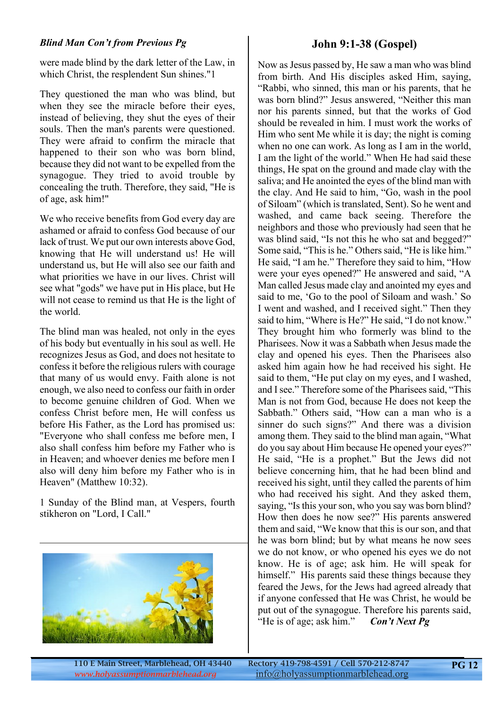#### *Blind Man Con't from Previous Pg*

were made blind by the dark letter of the Law, in which Christ, the resplendent Sun shines."1

They questioned the man who was blind, but when they see the miracle before their eyes, instead of believing, they shut the eyes of their souls. Then the man's parents were questioned. They were afraid to confirm the miracle that happened to their son who was born blind, because they did not want to be expelled from the synagogue. They tried to avoid trouble by concealing the truth. Therefore, they said, "He is of age, ask him!"

We who receive benefits from God every day are ashamed or afraid to confess God because of our lack of trust. We put our own interests above God, knowing that He will understand us! He will understand us, but He will also see our faith and what priorities we have in our lives. Christ will see what "gods" we have put in His place, but He will not cease to remind us that He is the light of the world.

The blind man was healed, not only in the eyes of his body but eventually in his soul as well. He recognizes Jesus as God, and does not hesitate to confess it before the religious rulers with courage that many of us would envy. Faith alone is not enough, we also need to confess our faith in order to become genuine children of God. When we confess Christ before men, He will confess us before His Father, as the Lord has promised us: "Everyone who shall confess me before men, I also shall confess him before my Father who is in Heaven; and whoever denies me before men I also will deny him before my Father who is in Heaven" (Matthew 10:32).

1 Sunday of the Blind man, at Vespers, fourth stikheron on "Lord, I Call."



### **John 9:1-38 (Gospel)**

Now as Jesus passed by, He saw a man who was blind from birth. And His disciples asked Him, saying, "Rabbi, who sinned, this man or his parents, that he was born blind?" Jesus answered, "Neither this man nor his parents sinned, but that the works of God should be revealed in him. I must work the works of Him who sent Me while it is day; the night is coming when no one can work. As long as I am in the world, I am the light of the world." When He had said these things, He spat on the ground and made clay with the saliva; and He anointed the eyes of the blind man with the clay. And He said to him, "Go, wash in the pool of Siloam" (which is translated, Sent). So he went and washed, and came back seeing. Therefore the neighbors and those who previously had seen that he was blind said. "Is not this he who sat and begged?" Some said, "This is he." Others said, "He is like him." He said, "I am he." Therefore they said to him, "How were your eyes opened?" He answered and said, "A Man called Jesus made clay and anointed my eyes and said to me, 'Go to the pool of Siloam and wash.' So I went and washed, and I received sight." Then they said to him, "Where is He?" He said, "I do not know." They brought him who formerly was blind to the Pharisees. Now it was a Sabbath when Jesus made the clay and opened his eyes. Then the Pharisees also asked him again how he had received his sight. He said to them, "He put clay on my eyes, and I washed, and I see." Therefore some of the Pharisees said, "This Man is not from God, because He does not keep the Sabbath." Others said, "How can a man who is a sinner do such signs?" And there was a division among them. They said to the blind man again, "What do you say about Him because He opened your eyes?" He said, "He is a prophet." But the Jews did not believe concerning him, that he had been blind and received his sight, until they called the parents of him who had received his sight. And they asked them, saying, "Is this your son, who you say was born blind? How then does he now see?" His parents answered them and said, "We know that this is our son, and that he was born blind; but by what means he now sees we do not know, or who opened his eyes we do not know. He is of age; ask him. He will speak for himself." His parents said these things because they feared the Jews, for the Jews had agreed already that if anyone confessed that He was Christ, he would be put out of the synagogue. Therefore his parents said, "He is of age; ask him." *Con't Next Pg*

110 E Main Street, Marblehead, OH 43440 Rectory 419-798-4591 / Cell 570-212-8747 <www.holyassumptionmarblehead.org> info@holyassumptionmarblehead.org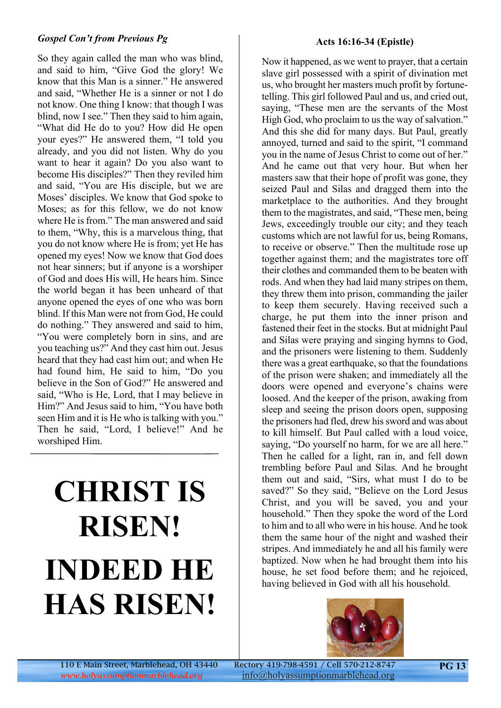#### *Gospel Con't from Previous Pg*

So they again called the man who was blind, and said to him, "Give God the glory! We know that this Man is a sinner." He answered and said, "Whether He is a sinner or not I do not know. One thing I know: that though I was blind, now I see." Then they said to him again, "What did He do to you? How did He open your eyes?" He answered them, "I told you already, and you did not listen. Why do you want to hear it again? Do you also want to become His disciples?" Then they reviled him and said, "You are His disciple, but we are Moses' disciples. We know that God spoke to Moses; as for this fellow, we do not know where He is from." The man answered and said to them, "Why, this is a marvelous thing, that you do not know where He is from; yet He has opened my eyes! Now we know that God does not hear sinners; but if anyone is a worshiper of God and does His will, He hears him. Since the world began it has been unheard of that anyone opened the eyes of one who was born blind. If this Man were not from God, He could do nothing." They answered and said to him, "You were completely born in sins, and are you teaching us?" And they cast him out. Jesus heard that they had cast him out; and when He had found him, He said to him, "Do you believe in the Son of God?" He answered and said, "Who is He, Lord, that I may believe in Him?" And Jesus said to him, "You have both seen Him and it is He who is talking with you." Then he said, "Lord, I believe!" And he worshiped Him.

## **CHRIST IS RISEN! INDEED HE HAS RISEN!**

#### **Acts 16:16-34 (Epistle)**

Now it happened, as we went to prayer, that a certain slave girl possessed with a spirit of divination met us, who brought her masters much profit by fortunetelling. This girl followed Paul and us, and cried out, saying, "These men are the servants of the Most High God, who proclaim to us the way of salvation." And this she did for many days. But Paul, greatly annoyed, turned and said to the spirit, "I command you in the name of Jesus Christ to come out of her." And he came out that very hour. But when her masters saw that their hope of profit was gone, they seized Paul and Silas and dragged them into the marketplace to the authorities. And they brought them to the magistrates, and said, "These men, being Jews, exceedingly trouble our city; and they teach customs which are not lawful for us, being Romans, to receive or observe." Then the multitude rose up together against them; and the magistrates tore off their clothes and commanded them to be beaten with rods. And when they had laid many stripes on them, they threw them into prison, commanding the jailer to keep them securely. Having received such a charge, he put them into the inner prison and fastened their feet in the stocks. But at midnight Paul and Silas were praying and singing hymns to God, and the prisoners were listening to them. Suddenly there was a great earthquake, so that the foundations of the prison were shaken; and immediately all the doors were opened and everyone's chains were loosed. And the keeper of the prison, awaking from sleep and seeing the prison doors open, supposing the prisoners had fled, drew his sword and was about to kill himself. But Paul called with a loud voice, saying, "Do yourself no harm, for we are all here." Then he called for a light, ran in, and fell down trembling before Paul and Silas. And he brought them out and said, "Sirs, what must I do to be saved?" So they said, "Believe on the Lord Jesus Christ, and you will be saved, you and your household." Then they spoke the word of the Lord to him and to all who were in his house. And he took them the same hour of the night and washed their stripes. And immediately he and all his family were baptized. Now when he had brought them into his house, he set food before them; and he rejoiced, having believed in God with all his household.



110 E Main Street, Marblehead, OH 43440 Rectory 419-798-4591 / Cell 570-212-8747 <www.holyassumptionmarblehead.org> info@holyassumptionmarblehead.org

**PG 13**